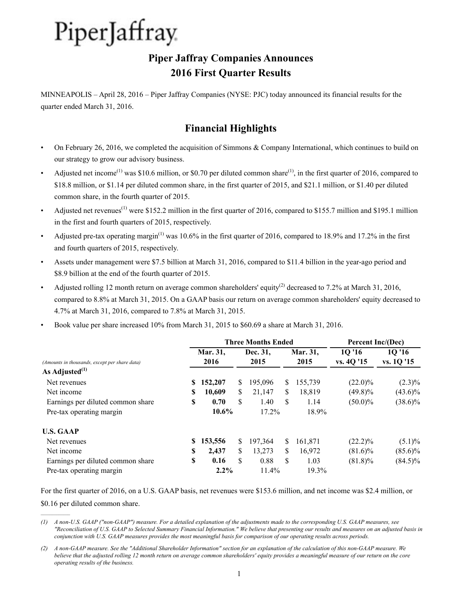## **Piper Jaffray Companies Announces 2016 First Quarter Results**

MINNEAPOLIS – April 28, 2016 – Piper Jaffray Companies (NYSE: PJC) today announced its financial results for the quarter ended March 31, 2016.

## **Financial Highlights**

- On February 26, 2016, we completed the acquisition of Simmons & Company International, which continues to build on our strategy to grow our advisory business.
- Adjusted net income<sup>(1)</sup> was \$10.6 million, or \$0.70 per diluted common share<sup>(1)</sup>, in the first quarter of 2016, compared to \$18.8 million, or \$1.14 per diluted common share, in the first quarter of 2015, and \$21.1 million, or \$1.40 per diluted common share, in the fourth quarter of 2015.
- Adjusted net revenues<sup>(1)</sup> were \$152.2 million in the first quarter of 2016, compared to \$155.7 million and \$195.1 million in the first and fourth quarters of 2015, respectively.
- Adjusted pre-tax operating margin<sup>(1)</sup> was 10.6% in the first quarter of 2016, compared to 18.9% and 17.2% in the first and fourth quarters of 2015, respectively.
- Assets under management were \$7.5 billion at March 31, 2016, compared to \$11.4 billion in the year-ago period and \$8.9 billion at the end of the fourth quarter of 2015.
- Adjusted rolling 12 month return on average common shareholders' equity<sup>(2)</sup> decreased to 7.2% at March 31, 2016, compared to 8.8% at March 31, 2015. On a GAAP basis our return on average common shareholders' equity decreased to 4.7% at March 31, 2016, compared to 7.8% at March 31, 2015.
- Book value per share increased 10% from March 31, 2015 to \$60.69 a share at March 31, 2016.

|                                               |    |          | <b>Three Months Ended</b> | Percent Inc/(Dec) |    |          |            |            |  |
|-----------------------------------------------|----|----------|---------------------------|-------------------|----|----------|------------|------------|--|
|                                               |    | Mar. 31, |                           | Dec. 31,          |    | Mar. 31, | 10'16      | 1Q '16     |  |
| (Amounts in thousands, except per share data) |    | 2016     |                           | 2015              |    | 2015     | vs. 4Q '15 | vs. 1Q '15 |  |
| As Adjusted $^{(1)}$                          |    |          |                           |                   |    |          |            |            |  |
| Net revenues                                  | S  | 152,207  | S.                        | 195,096           | \$ | 155,739  | $(22.0)\%$ | $(2.3)\%$  |  |
| Net income                                    | \$ | 10,609   | S.                        | 21,147            | \$ | 18,819   | $(49.8)\%$ | $(43.6)\%$ |  |
| Earnings per diluted common share             | S  | 0.70     | S                         | 1.40              | \$ | 1.14     | $(50.0)\%$ | $(38.6)\%$ |  |
| Pre-tax operating margin                      |    | $10.6\%$ |                           | 17.2%             |    | 18.9%    |            |            |  |
| <b>U.S. GAAP</b>                              |    |          |                           |                   |    |          |            |            |  |
| Net revenues                                  | S  | 153,556  | S.                        | 197,364           | S  | 161,871  | $(22.2)\%$ | $(5.1)\%$  |  |
| Net income                                    | S  | 2,437    | S.                        | 13,273            | \$ | 16,972   | $(81.6)\%$ | $(85.6)\%$ |  |
| Earnings per diluted common share             | \$ | 0.16     | \$                        | 0.88              | \$ | 1.03     | $(81.8)\%$ | $(84.5)\%$ |  |
| Pre-tax operating margin                      |    | $2.2\%$  |                           | 11.4%             |    | 19.3%    |            |            |  |

For the first quarter of 2016, on a U.S. GAAP basis, net revenues were \$153.6 million, and net income was \$2.4 million, or

\$0.16 per diluted common share.

 $\mathcal{L}_\text{max}$  and  $\mathcal{L}_\text{max}$ 

*<sup>(1)</sup> A non-U.S. GAAP ("non-GAAP") measure. For a detailed explanation of the adjustments made to the corresponding U.S. GAAP measures, see "Reconciliation of U.S. GAAP to Selected Summary Financial Information." We believe that presenting our results and measures on an adjusted basis in conjunction with U.S. GAAP measures provides the most meaningful basis for comparison of our operating results across periods.* 

*<sup>(2)</sup> A non-GAAP measure. See the "Additional Shareholder Information" section for an explanation of the calculation of this non-GAAP measure. We believe that the adjusted rolling 12 month return on average common shareholders' equity provides a meaningful measure of our return on the core operating results of the business.*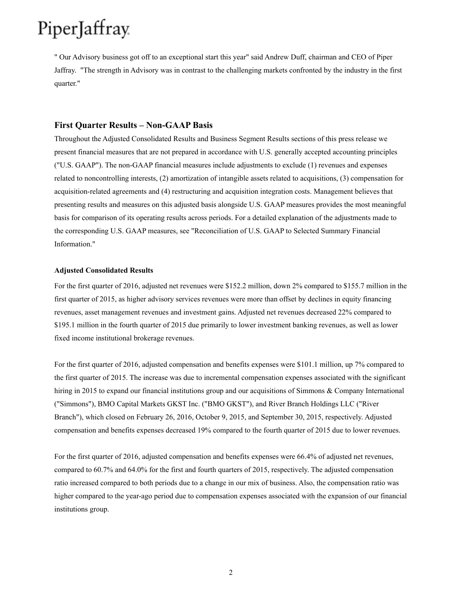" Our Advisory business got off to an exceptional start this year" said Andrew Duff, chairman and CEO of Piper Jaffray. "The strength in Advisory was in contrast to the challenging markets confronted by the industry in the first quarter."

#### **First Quarter Results – Non-GAAP Basis**

Throughout the Adjusted Consolidated Results and Business Segment Results sections of this press release we present financial measures that are not prepared in accordance with U.S. generally accepted accounting principles ("U.S. GAAP"). The non-GAAP financial measures include adjustments to exclude (1) revenues and expenses related to noncontrolling interests, (2) amortization of intangible assets related to acquisitions, (3) compensation for acquisition-related agreements and (4) restructuring and acquisition integration costs. Management believes that presenting results and measures on this adjusted basis alongside U.S. GAAP measures provides the most meaningful basis for comparison of its operating results across periods. For a detailed explanation of the adjustments made to the corresponding U.S. GAAP measures, see "Reconciliation of U.S. GAAP to Selected Summary Financial Information."

#### **Adjusted Consolidated Results**

For the first quarter of 2016, adjusted net revenues were \$152.2 million, down 2% compared to \$155.7 million in the first quarter of 2015, as higher advisory services revenues were more than offset by declines in equity financing revenues, asset management revenues and investment gains. Adjusted net revenues decreased 22% compared to \$195.1 million in the fourth quarter of 2015 due primarily to lower investment banking revenues, as well as lower fixed income institutional brokerage revenues.

For the first quarter of 2016, adjusted compensation and benefits expenses were \$101.1 million, up 7% compared to the first quarter of 2015. The increase was due to incremental compensation expenses associated with the significant hiring in 2015 to expand our financial institutions group and our acquisitions of Simmons & Company International ("Simmons"), BMO Capital Markets GKST Inc. ("BMO GKST"), and River Branch Holdings LLC ("River Branch"), which closed on February 26, 2016, October 9, 2015, and September 30, 2015, respectively. Adjusted compensation and benefits expenses decreased 19% compared to the fourth quarter of 2015 due to lower revenues.

For the first quarter of 2016, adjusted compensation and benefits expenses were 66.4% of adjusted net revenues, compared to 60.7% and 64.0% for the first and fourth quarters of 2015, respectively. The adjusted compensation ratio increased compared to both periods due to a change in our mix of business. Also, the compensation ratio was higher compared to the year-ago period due to compensation expenses associated with the expansion of our financial institutions group.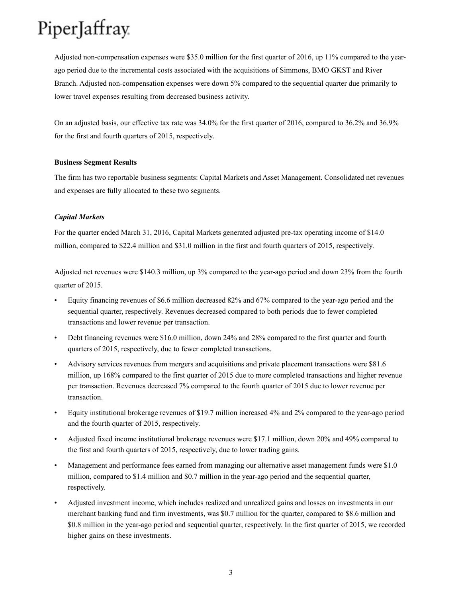Adjusted non-compensation expenses were \$35.0 million for the first quarter of 2016, up 11% compared to the yearago period due to the incremental costs associated with the acquisitions of Simmons, BMO GKST and River Branch. Adjusted non-compensation expenses were down 5% compared to the sequential quarter due primarily to lower travel expenses resulting from decreased business activity.

On an adjusted basis, our effective tax rate was 34.0% for the first quarter of 2016, compared to 36.2% and 36.9% for the first and fourth quarters of 2015, respectively.

#### **Business Segment Results**

The firm has two reportable business segments: Capital Markets and Asset Management. Consolidated net revenues and expenses are fully allocated to these two segments.

#### *Capital Markets*

For the quarter ended March 31, 2016, Capital Markets generated adjusted pre-tax operating income of \$14.0 million, compared to \$22.4 million and \$31.0 million in the first and fourth quarters of 2015, respectively.

Adjusted net revenues were \$140.3 million, up 3% compared to the year-ago period and down 23% from the fourth quarter of 2015.

- Equity financing revenues of \$6.6 million decreased 82% and 67% compared to the year-ago period and the sequential quarter, respectively. Revenues decreased compared to both periods due to fewer completed transactions and lower revenue per transaction.
- Debt financing revenues were \$16.0 million, down 24% and 28% compared to the first quarter and fourth quarters of 2015, respectively, due to fewer completed transactions.
- Advisory services revenues from mergers and acquisitions and private placement transactions were \$81.6 million, up 168% compared to the first quarter of 2015 due to more completed transactions and higher revenue per transaction. Revenues decreased 7% compared to the fourth quarter of 2015 due to lower revenue per transaction.
- Equity institutional brokerage revenues of \$19.7 million increased 4% and 2% compared to the year-ago period and the fourth quarter of 2015, respectively.
- Adjusted fixed income institutional brokerage revenues were \$17.1 million, down 20% and 49% compared to the first and fourth quarters of 2015, respectively, due to lower trading gains.
- Management and performance fees earned from managing our alternative asset management funds were \$1.0 million, compared to \$1.4 million and \$0.7 million in the year-ago period and the sequential quarter, respectively.
- Adjusted investment income, which includes realized and unrealized gains and losses on investments in our merchant banking fund and firm investments, was \$0.7 million for the quarter, compared to \$8.6 million and \$0.8 million in the year-ago period and sequential quarter, respectively. In the first quarter of 2015, we recorded higher gains on these investments.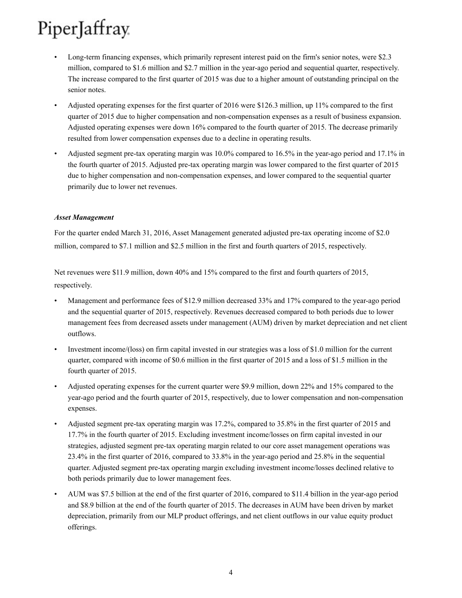- Long-term financing expenses, which primarily represent interest paid on the firm's senior notes, were \$2.3 million, compared to \$1.6 million and \$2.7 million in the year-ago period and sequential quarter, respectively. The increase compared to the first quarter of 2015 was due to a higher amount of outstanding principal on the senior notes.
- Adjusted operating expenses for the first quarter of 2016 were \$126.3 million, up 11% compared to the first quarter of 2015 due to higher compensation and non-compensation expenses as a result of business expansion. Adjusted operating expenses were down 16% compared to the fourth quarter of 2015. The decrease primarily resulted from lower compensation expenses due to a decline in operating results.
- Adjusted segment pre-tax operating margin was 10.0% compared to 16.5% in the year-ago period and 17.1% in the fourth quarter of 2015. Adjusted pre-tax operating margin was lower compared to the first quarter of 2015 due to higher compensation and non-compensation expenses, and lower compared to the sequential quarter primarily due to lower net revenues.

#### *Asset Management*

For the quarter ended March 31, 2016, Asset Management generated adjusted pre-tax operating income of \$2.0 million, compared to \$7.1 million and \$2.5 million in the first and fourth quarters of 2015, respectively.

Net revenues were \$11.9 million, down 40% and 15% compared to the first and fourth quarters of 2015, respectively.

- Management and performance fees of \$12.9 million decreased 33% and 17% compared to the year-ago period and the sequential quarter of 2015, respectively. Revenues decreased compared to both periods due to lower management fees from decreased assets under management (AUM) driven by market depreciation and net client outflows.
- Investment income/(loss) on firm capital invested in our strategies was a loss of \$1.0 million for the current quarter, compared with income of \$0.6 million in the first quarter of 2015 and a loss of \$1.5 million in the fourth quarter of 2015.
- Adjusted operating expenses for the current quarter were \$9.9 million, down 22% and 15% compared to the year-ago period and the fourth quarter of 2015, respectively, due to lower compensation and non-compensation expenses.
- Adjusted segment pre-tax operating margin was 17.2%, compared to 35.8% in the first quarter of 2015 and 17.7% in the fourth quarter of 2015. Excluding investment income/losses on firm capital invested in our strategies, adjusted segment pre-tax operating margin related to our core asset management operations was 23.4% in the first quarter of 2016, compared to 33.8% in the year-ago period and 25.8% in the sequential quarter. Adjusted segment pre-tax operating margin excluding investment income/losses declined relative to both periods primarily due to lower management fees.
- AUM was \$7.5 billion at the end of the first quarter of 2016, compared to \$11.4 billion in the year-ago period and \$8.9 billion at the end of the fourth quarter of 2015. The decreases in AUM have been driven by market depreciation, primarily from our MLP product offerings, and net client outflows in our value equity product offerings.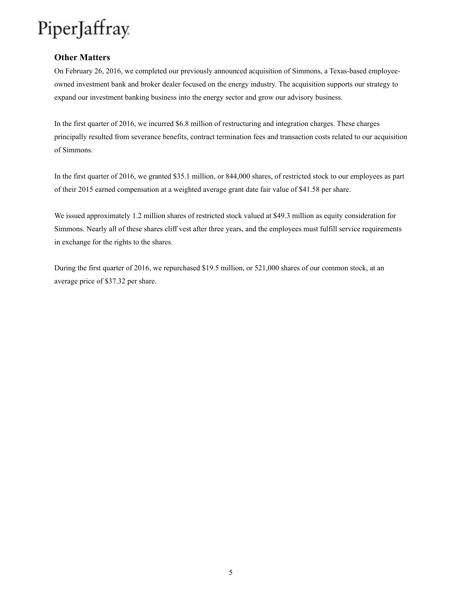#### **Other Matters**

On February 26, 2016, we completed our previously announced acquisition of Simmons, a Texas-based employeeowned investment bank and broker dealer focused on the energy industry. The acquisition supports our strategy to expand our investment banking business into the energy sector and grow our advisory business.

In the first quarter of 2016, we incurred \$6.8 million of restructuring and integration charges. These charges principally resulted from severance benefits, contract termination fees and transaction costs related to our acquisition of Simmons.

In the first quarter of 2016, we granted \$35.1 million, or 844,000 shares, of restricted stock to our employees as part of their 2015 earned compensation at a weighted average grant date fair value of \$41.58 per share.

We issued approximately 1.2 million shares of restricted stock valued at \$49.3 million as equity consideration for Simmons. Nearly all of these shares cliff vest after three years, and the employees must fulfill service requirements in exchange for the rights to the shares.

During the first quarter of 2016, we repurchased \$19.5 million, or 521,000 shares of our common stock, at an average price of \$37.32 per share.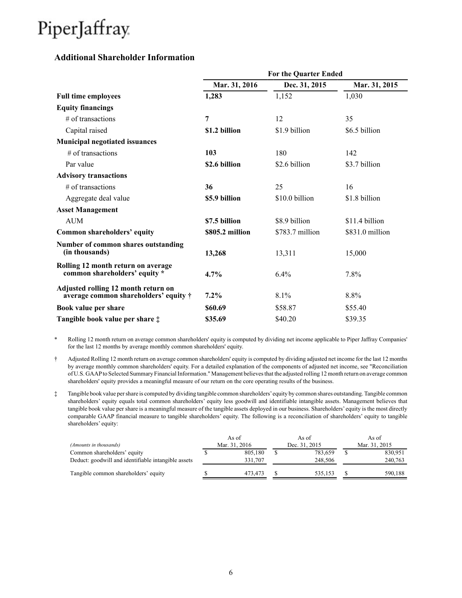### **Additional Shareholder Information**

|                                                                                      | <b>For the Quarter Ended</b> |                 |                 |  |  |  |  |  |  |  |
|--------------------------------------------------------------------------------------|------------------------------|-----------------|-----------------|--|--|--|--|--|--|--|
|                                                                                      | Mar. 31, 2016                | Dec. 31, 2015   | Mar. 31, 2015   |  |  |  |  |  |  |  |
| <b>Full time employees</b>                                                           | 1,283                        | 1,152           | 1,030           |  |  |  |  |  |  |  |
| <b>Equity financings</b>                                                             |                              |                 |                 |  |  |  |  |  |  |  |
| $#$ of transactions                                                                  | 7                            | 12              | 35              |  |  |  |  |  |  |  |
| Capital raised                                                                       | \$1.2 billion                | \$1.9 billion   | \$6.5 billion   |  |  |  |  |  |  |  |
| <b>Municipal negotiated issuances</b>                                                |                              |                 |                 |  |  |  |  |  |  |  |
| $#$ of transactions                                                                  | 103                          | 180             | 142             |  |  |  |  |  |  |  |
| Par value                                                                            | \$2.6 billion                | \$2.6 billion   | \$3.7 billion   |  |  |  |  |  |  |  |
| <b>Advisory transactions</b>                                                         |                              |                 |                 |  |  |  |  |  |  |  |
| $#$ of transactions                                                                  | 36                           | 25              | 16              |  |  |  |  |  |  |  |
| Aggregate deal value                                                                 | \$5.9 billion                | \$10.0 billion  | \$1.8 billion   |  |  |  |  |  |  |  |
| <b>Asset Management</b>                                                              |                              |                 |                 |  |  |  |  |  |  |  |
| <b>AUM</b>                                                                           | \$7.5 billion                | \$8.9 billion   | \$11.4 billion  |  |  |  |  |  |  |  |
| Common shareholders' equity                                                          | \$805.2 million              | \$783.7 million | \$831.0 million |  |  |  |  |  |  |  |
| Number of common shares outstanding<br>(in thousands)                                | 13,268                       | 13,311          | 15,000          |  |  |  |  |  |  |  |
| Rolling 12 month return on average<br>common shareholders' equity *                  | 4.7%                         | 6.4%            | 7.8%            |  |  |  |  |  |  |  |
| Adjusted rolling 12 month return on<br>average common shareholders' equity $\dagger$ | $7.2\%$                      | 8.1%            | 8.8%            |  |  |  |  |  |  |  |
| Book value per share                                                                 | \$60.69                      | \$58.87         | \$55.40         |  |  |  |  |  |  |  |
| Tangible book value per share $\ddagger$                                             | \$35.69                      | \$40.20         | \$39.35         |  |  |  |  |  |  |  |

\* Rolling 12 month return on average common shareholders' equity is computed by dividing net income applicable to Piper Jaffray Companies' for the last 12 months by average monthly common shareholders' equity.

- † Adjusted Rolling 12 month return on average common shareholders' equity is computed by dividing adjusted net income for the last 12 months by average monthly common shareholders' equity. For a detailed explanation of the components of adjusted net income, see "Reconciliation of U.S. GAAPto Selected Summary Financial Information." Management believes that the adjusted rolling 12 month return on average common shareholders' equity provides a meaningful measure of our return on the core operating results of the business.
- ‡ Tangible book value per share is computed by dividing tangible common shareholders'equity by common shares outstanding. Tangible common shareholders' equity equals total common shareholders' equity less goodwill and identifiable intangible assets. Management believes that tangible book value per share is a meaningful measure of the tangible assets deployed in our business. Shareholders' equity is the most directly comparable GAAP financial measure to tangible shareholders' equity. The following is a reconciliation of shareholders' equity to tangible shareholders' equity:

|                                                     | As of         | As of         | As of         |         |  |
|-----------------------------------------------------|---------------|---------------|---------------|---------|--|
| (Amounts in thousands)                              | Mar. 31, 2016 | Dec. 31, 2015 | Mar. 31, 2015 |         |  |
| Common shareholders' equity                         | 805.180       | 783.659       |               | 830.951 |  |
| Deduct: goodwill and identifiable intangible assets | 331.707       | 248.506       |               | 240,763 |  |
| Tangible common shareholders' equity                | 473.473       | 535.153       |               | 590,188 |  |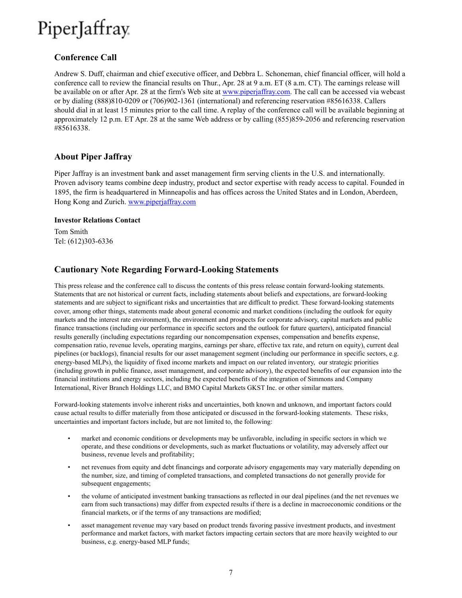### **Conference Call**

Andrew S. Duff, chairman and chief executive officer, and Debbra L. Schoneman, chief financial officer, will hold a conference call to review the financial results on Thur., Apr. 28 at 9 a.m. ET (8 a.m. CT). The earnings release will be available on or after Apr. 28 at the firm's Web site at www.piperjaffray.com. The call can be accessed via webcast or by dialing (888)810-0209 or (706)902-1361 (international) and referencing reservation #85616338. Callers should dial in at least 15 minutes prior to the call time. A replay of the conference call will be available beginning at approximately 12 p.m. ET Apr. 28 at the same Web address or by calling (855)859-2056 and referencing reservation #85616338.

### **About Piper Jaffray**

Piper Jaffray is an investment bank and asset management firm serving clients in the U.S. and internationally. Proven advisory teams combine deep industry, product and sector expertise with ready access to capital. Founded in 1895, the firm is headquartered in Minneapolis and has offices across the United States and in London, Aberdeen, Hong Kong and Zurich. www.piperjaffray.com

#### **Investor Relations Contact**

Tom Smith Tel: (612)303-6336

### **Cautionary Note Regarding Forward-Looking Statements**

This press release and the conference call to discuss the contents of this press release contain forward-looking statements. Statements that are not historical or current facts, including statements about beliefs and expectations, are forward-looking statements and are subject to significant risks and uncertainties that are difficult to predict. These forward-looking statements cover, among other things, statements made about general economic and market conditions (including the outlook for equity markets and the interest rate environment), the environment and prospects for corporate advisory, capital markets and public finance transactions (including our performance in specific sectors and the outlook for future quarters), anticipated financial results generally (including expectations regarding our noncompensation expenses, compensation and benefits expense, compensation ratio, revenue levels, operating margins, earnings per share, effective tax rate, and return on equity), current deal pipelines (or backlogs), financial results for our asset management segment (including our performance in specific sectors, e.g. energy-based MLPs), the liquidity of fixed income markets and impact on our related inventory, our strategic priorities (including growth in public finance, asset management, and corporate advisory), the expected benefits of our expansion into the financial institutions and energy sectors, including the expected benefits of the integration of Simmons and Company International, River Branch Holdings LLC, and BMO Capital Markets GKST Inc. or other similar matters.

Forward-looking statements involve inherent risks and uncertainties, both known and unknown, and important factors could cause actual results to differ materially from those anticipated or discussed in the forward-looking statements. These risks, uncertainties and important factors include, but are not limited to, the following:

- market and economic conditions or developments may be unfavorable, including in specific sectors in which we operate, and these conditions or developments, such as market fluctuations or volatility, may adversely affect our business, revenue levels and profitability;
- net revenues from equity and debt financings and corporate advisory engagements may vary materially depending on the number, size, and timing of completed transactions, and completed transactions do not generally provide for subsequent engagements;
- the volume of anticipated investment banking transactions as reflected in our deal pipelines (and the net revenues we earn from such transactions) may differ from expected results if there is a decline in macroeconomic conditions or the financial markets, or if the terms of any transactions are modified;
- asset management revenue may vary based on product trends favoring passive investment products, and investment performance and market factors, with market factors impacting certain sectors that are more heavily weighted to our business, e.g. energy-based MLP funds;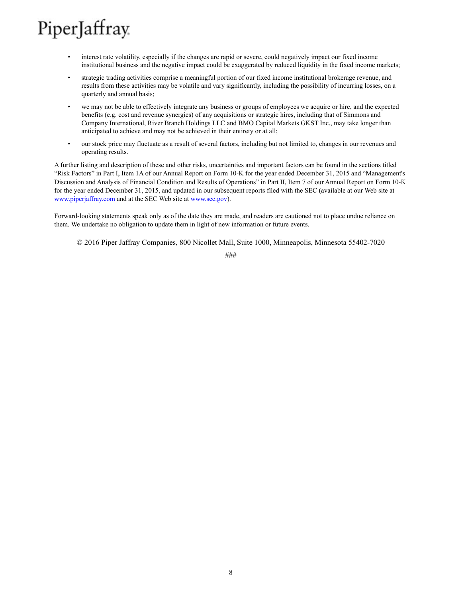- interest rate volatility, especially if the changes are rapid or severe, could negatively impact our fixed income institutional business and the negative impact could be exaggerated by reduced liquidity in the fixed income markets;
- strategic trading activities comprise a meaningful portion of our fixed income institutional brokerage revenue, and results from these activities may be volatile and vary significantly, including the possibility of incurring losses, on a quarterly and annual basis;
- we may not be able to effectively integrate any business or groups of employees we acquire or hire, and the expected benefits (e.g. cost and revenue synergies) of any acquisitions or strategic hires, including that of Simmons and Company International, River Branch Holdings LLC and BMO Capital Markets GKST Inc., may take longer than anticipated to achieve and may not be achieved in their entirety or at all;
- our stock price may fluctuate as a result of several factors, including but not limited to, changes in our revenues and operating results.

A further listing and description of these and other risks, uncertainties and important factors can be found in the sections titled "Risk Factors" in Part I, Item 1A of our Annual Report on Form 10-K for the year ended December 31, 2015 and "Management's Discussion and Analysis of Financial Condition and Results of Operations" in Part II, Item 7 of our Annual Report on Form 10-K for the year ended December 31, 2015, and updated in our subsequent reports filed with the SEC (available at our Web site at www.piperjaffray.com and at the SEC Web site at www.sec.gov).

Forward-looking statements speak only as of the date they are made, and readers are cautioned not to place undue reliance on them. We undertake no obligation to update them in light of new information or future events.

© 2016 Piper Jaffray Companies, 800 Nicollet Mall, Suite 1000, Minneapolis, Minnesota 55402-7020

###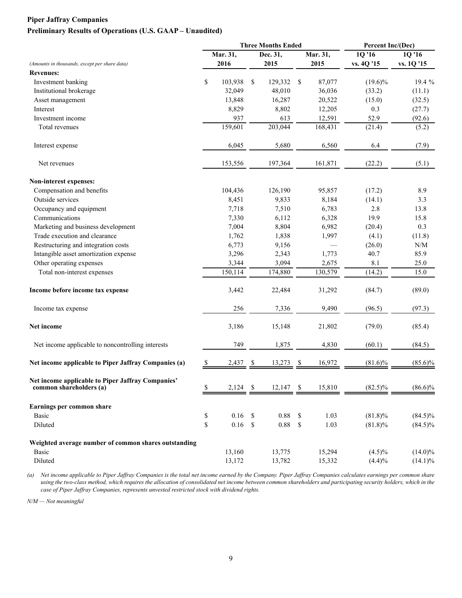#### **Piper Jaffray Companies Preliminary Results of Operations (U.S. GAAP – Unaudited)**

|                                                                              | <b>Three Months Ended</b> |            | Percent Inc/(Dec) |             |              |          |            |                                               |
|------------------------------------------------------------------------------|---------------------------|------------|-------------------|-------------|--------------|----------|------------|-----------------------------------------------|
|                                                                              |                           | Mar. $31,$ |                   | Dec. 31,    |              | Mar. 31, | 1Q '16     | 1Q '16                                        |
| (Amounts in thousands, except per share data)                                |                           | 2016       |                   | 2015        |              | 2015     | vs. 4Q '15 | vs. 1Q '15                                    |
| <b>Revenues:</b>                                                             |                           |            |                   |             |              |          |            |                                               |
| Investment banking                                                           | \$                        | 103,938    | \$                | 129,332     | - \$         | 87,077   | $(19.6)\%$ | 19.4 %                                        |
| Institutional brokerage                                                      |                           | 32,049     |                   | 48,010      |              | 36,036   | (33.2)     | (11.1)                                        |
| Asset management                                                             |                           | 13,848     |                   | 16,287      |              | 20,522   | (15.0)     | (32.5)                                        |
| Interest                                                                     |                           | 8,829      |                   | 8,802       |              | 12,205   | 0.3        | (27.7)                                        |
| Investment income                                                            |                           | 937        |                   | 613         |              | 12,591   | 52.9       | (92.6)                                        |
| Total revenues                                                               |                           | 159,601    |                   | 203,044     |              | 168,431  | (21.4)     | (5.2)                                         |
| Interest expense                                                             |                           | 6,045      |                   | 5,680       |              | 6,560    | 6.4        | (7.9)                                         |
| Net revenues                                                                 |                           | 153,556    |                   | 197,364     |              | 161,871  | (22.2)     | (5.1)                                         |
| Non-interest expenses:                                                       |                           |            |                   |             |              |          |            |                                               |
| Compensation and benefits                                                    |                           | 104,436    |                   | 126,190     |              | 95,857   | (17.2)     | 8.9                                           |
| Outside services                                                             |                           | 8,451      |                   | 9,833       |              | 8,184    | (14.1)     | 3.3                                           |
| Occupancy and equipment                                                      |                           | 7,718      |                   | 7,510       |              | 6,783    | 2.8        | 13.8                                          |
| Communications                                                               |                           | 7,330      |                   | 6,112       |              | 6,328    | 19.9       | 15.8                                          |
| Marketing and business development                                           |                           | 7,004      |                   | 8,804       |              | 6,982    | (20.4)     | 0.3                                           |
| Trade execution and clearance                                                |                           | 1,762      |                   | 1,838       |              | 1,997    | (4.1)      | (11.8)                                        |
| Restructuring and integration costs                                          |                           | 6,773      |                   | 9,156       |              |          | (26.0)     | $\ensuremath{\text{N}}/\ensuremath{\text{M}}$ |
| Intangible asset amortization expense                                        |                           | 3,296      |                   | 2,343       |              | 1,773    | 40.7       | 85.9                                          |
| Other operating expenses                                                     |                           | 3,344      |                   | 3,094       |              | 2,675    | 8.1        | 25.0                                          |
| Total non-interest expenses                                                  |                           | 150,114    |                   | 174,880     |              | 130,579  | (14.2)     | 15.0                                          |
| Income before income tax expense                                             |                           | 3,442      |                   | 22,484      |              | 31,292   | (84.7)     | (89.0)                                        |
| Income tax expense                                                           |                           | 256        |                   | 7,336       |              | 9,490    | (96.5)     | (97.3)                                        |
| Net income                                                                   |                           | 3,186      |                   | 15,148      |              | 21,802   | (79.0)     | (85.4)                                        |
| Net income applicable to noncontrolling interests                            |                           | 749        |                   | 1,875       |              | 4,830    | (60.1)     | (84.5)                                        |
| Net income applicable to Piper Jaffray Companies (a)                         | -S                        | 2,437      | S                 | 13,273      | -S           | 16,972   | $(81.6)\%$ | $(85.6)\%$                                    |
| Net income applicable to Piper Jaffray Companies'<br>common shareholders (a) | \$                        | $2,124$ \$ |                   | $12,147$ \$ |              | 15,810   | $(82.5)\%$ | $(86.6)\%$                                    |
| Earnings per common share                                                    |                           |            |                   |             |              |          |            |                                               |
| <b>Basic</b>                                                                 | \$                        | 0.16       | \$                | 0.88        | \$           | 1.03     | $(81.8)\%$ | $(84.5)\%$                                    |
| Diluted                                                                      | \$                        | 0.16       | \$                | 0.88        | $\mathbb{S}$ | 1.03     | $(81.8)\%$ | $(84.5)\%$                                    |
| Weighted average number of common shares outstanding                         |                           |            |                   |             |              |          |            |                                               |
| <b>Basic</b>                                                                 |                           | 13,160     |                   | 13,775      |              | 15,294   | $(4.5)\%$  | $(14.0)\%$                                    |
| Diluted                                                                      |                           | 13,172     |                   | 13,782      |              | 15,332   | (4.4)%     | $(14.1)\%$                                    |

*(a) Net income applicable to Piper Jaffray Companies is the total net income earned by the Company. Piper Jaffray Companies calculates earnings per common share*  using the two-class method, which requires the allocation of consolidated net income between common shareholders and participating security holders, which in the *case of Piper Jaffray Companies, represents unvested restricted stock with dividend rights.*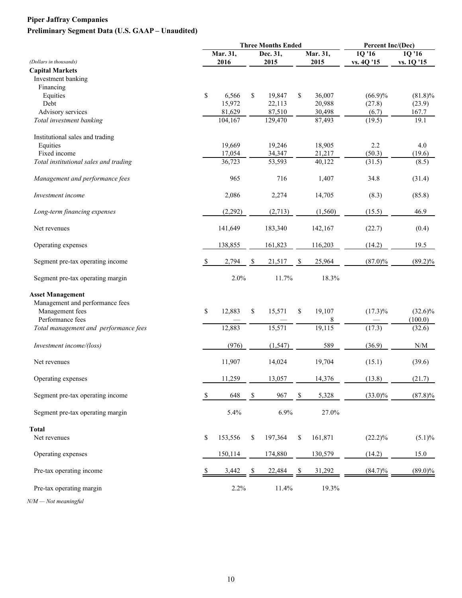## **Piper Jaffray Companies Preliminary Segment Data (U.S. GAAP – Unaudited)**

|                                       |    | <b>Three Months Ended</b> |    |                  | Percent Inc/(Dec) |                  |                      |                     |
|---------------------------------------|----|---------------------------|----|------------------|-------------------|------------------|----------------------|---------------------|
| (Dollars in thousands)                |    | Mar. 31,<br>2016          |    | Dec. 31,<br>2015 |                   | Mar. 31,<br>2015 | 1Q '16<br>vs. 4Q '15 | 1Q'16<br>vs. 1Q '15 |
| <b>Capital Markets</b>                |    |                           |    |                  |                   |                  |                      |                     |
| Investment banking                    |    |                           |    |                  |                   |                  |                      |                     |
| Financing                             |    |                           |    |                  |                   |                  |                      |                     |
| Equities                              | \$ | 6,566                     | \$ | 19,847           | \$                | 36,007           | $(66.9)\%$           | $(81.8)\%$          |
| Debt                                  |    | 15,972                    |    | 22,113           |                   | 20,988           | (27.8)               | (23.9)              |
| Advisory services                     |    | 81,629                    |    | 87,510           |                   | 30,498           | (6.7)                | 167.7               |
| Total investment banking              |    | 104,167                   |    | 129,470          |                   | 87,493           | (19.5)               | 19.1                |
| Institutional sales and trading       |    |                           |    |                  |                   |                  |                      |                     |
| Equities                              |    | 19,669                    |    | 19,246           |                   | 18,905           | 2.2                  | 4.0                 |
| Fixed income                          |    | 17,054                    |    | 34,347           |                   | 21,217           | (50.3)               | (19.6)              |
| Total institutional sales and trading |    | 36,723                    |    | 53,593           |                   | 40,122           | (31.5)               | (8.5)               |
| Management and performance fees       |    | 965                       |    | 716              |                   | 1,407            | 34.8                 | (31.4)              |
| Investment income                     |    | 2,086                     |    | 2,274            |                   | 14,705           | (8.3)                | (85.8)              |
| Long-term financing expenses          |    | (2, 292)                  |    | (2,713)          |                   | (1, 560)         | (15.5)               | 46.9                |
| Net revenues                          |    | 141,649                   |    | 183,340          |                   | 142,167          | (22.7)               | (0.4)               |
| Operating expenses                    |    | 138,855                   |    | 161,823          |                   | 116,203          | (14.2)               | 19.5                |
| Segment pre-tax operating income      | -S | 2,794                     | \$ | 21,517           | S                 | 25,964           | $(87.0)\%$           | $(89.2)\%$          |
| Segment pre-tax operating margin      |    | 2.0%                      |    | 11.7%            |                   | 18.3%            |                      |                     |
| <b>Asset Management</b>               |    |                           |    |                  |                   |                  |                      |                     |
| Management and performance fees       |    |                           |    |                  |                   |                  |                      |                     |
| Management fees                       | \$ | 12,883                    | \$ | 15,571           | \$                | 19,107           | $(17.3)\%$           | $(32.6)\%$          |
| Performance fees                      |    |                           |    |                  |                   | 8                |                      | (100.0)             |
| Total management and performance fees |    | 12,883                    |    | 15,571           |                   | 19,115           | (17.3)               | (32.6)              |
| Investment income/(loss)              |    | (976)                     |    | (1, 547)         |                   | 589              | (36.9)               | N/M                 |
| Net revenues                          |    | 11,907                    |    | 14,024           |                   | 19,704           | (15.1)               | (39.6)              |
| Operating expenses                    |    | 11,259                    |    | 13,057           |                   | 14,376           | (13.8)               | (21.7)              |
| Segment pre-tax operating income      | \$ | 648                       | \$ | 967              | \$                | 5,328            | $(33.0)\%$           | $(87.8)\%$          |
| Segment pre-tax operating margin      |    | 5.4%                      |    | 6.9%             |                   | 27.0%            |                      |                     |
| <b>Total</b>                          |    |                           |    |                  |                   |                  |                      |                     |
| Net revenues                          | \$ | 153,556                   | \$ | 197,364          | \$                | 161,871          | $(22.2)\%$           | $(5.1)\%$           |
| Operating expenses                    |    | 150,114                   |    | 174,880          |                   | 130,579          | (14.2)               | 15.0                |
| Pre-tax operating income              |    | 3,442                     |    | 22,484           |                   | 31,292           | $(84.7)\%$           | $(89.0)\%$          |
| Pre-tax operating margin              |    | 2.2%                      |    | 11.4%            |                   | 19.3%            |                      |                     |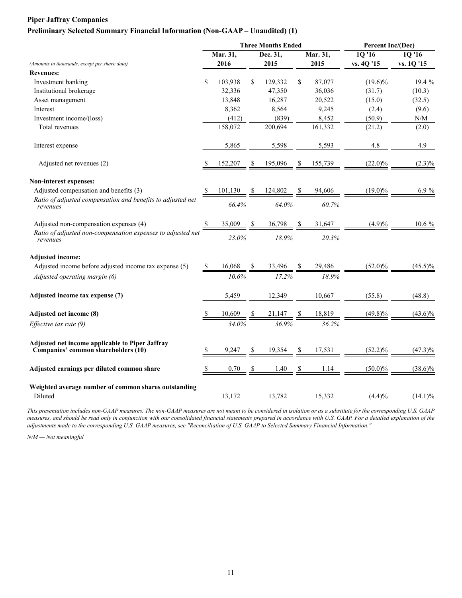#### **Piper Jaffray Companies**

#### **Preliminary Selected Summary Financial Information (Non-GAAP – Unaudited) (1)**

|                                                                                        |              | <b>Three Months Ended</b> |    | Percent Inc/(Dec) |    |          |            |            |
|----------------------------------------------------------------------------------------|--------------|---------------------------|----|-------------------|----|----------|------------|------------|
|                                                                                        |              | Mar. 31,                  |    | Dec. 31,          |    | Mar. 31, | 1Q '16     | 10'16      |
| (Amounts in thousands, except per share data)                                          |              | 2016                      |    | 2015              |    | 2015     | vs. 4Q '15 | vs. 1Q '15 |
| <b>Revenues:</b>                                                                       |              |                           |    |                   |    |          |            |            |
| Investment banking                                                                     | S            | 103,938                   | \$ | 129,332           | \$ | 87,077   | $(19.6)\%$ | 19.4 %     |
| Institutional brokerage                                                                |              | 32,336                    |    | 47,350            |    | 36,036   | (31.7)     | (10.3)     |
| Asset management                                                                       |              | 13,848                    |    | 16,287            |    | 20,522   | (15.0)     | (32.5)     |
| Interest                                                                               |              | 8,362                     |    | 8,564             |    | 9,245    | (2.4)      | (9.6)      |
| Investment income/(loss)                                                               |              | (412)                     |    | (839)             |    | 8,452    | (50.9)     | N/M        |
| Total revenues                                                                         |              | 158,072                   |    | 200,694           |    | 161,332  | (21.2)     | (2.0)      |
| Interest expense                                                                       |              | 5,865                     |    | 5,598             |    | 5,593    | 4.8        | 4.9        |
| Adjusted net revenues (2)                                                              |              | 152,207                   | Y. | 195,096           | S. | 155,739  | $(22.0)\%$ | $(2.3)\%$  |
| Non-interest expenses:                                                                 |              |                           |    |                   |    |          |            |            |
| Adjusted compensation and benefits (3)                                                 | <sup>S</sup> | 101,130                   |    | 124,802           |    | 94,606   | $(19.0)\%$ | 6.9%       |
| Ratio of adjusted compensation and benefits to adjusted net<br>revenues                |              | 66.4%                     |    | 64.0%             |    | 60.7%    |            |            |
| Adjusted non-compensation expenses (4)                                                 |              | 35,009                    |    | 36,798            |    | 31,647   | (4.9)%     | 10.6 %     |
| Ratio of adjusted non-compensation expenses to adjusted net<br>revenues                |              | 23.0%                     |    | 18.9%             |    | 20.3%    |            |            |
| <b>Adjusted income:</b>                                                                |              |                           |    |                   |    |          |            |            |
| Adjusted income before adjusted income tax expense (5)                                 |              | 16,068                    |    | 33,496            |    | 29,486   | $(52.0)\%$ | $(45.5)\%$ |
| Adjusted operating margin (6)                                                          |              | 10.6%                     |    | 17.2%             |    | 18.9%    |            |            |
| Adjusted income tax expense (7)                                                        |              | 5,459                     |    | 12,349            |    | 10,667   | (55.8)     | (48.8)     |
| Adjusted net income (8)                                                                |              | 10,609                    |    | $21,147$ \$       |    | 18,819   | $(49.8)\%$ | $(43.6)\%$ |
| Effective tax rate (9)                                                                 |              | 34.0%                     |    | 36.9%             |    | 36.2%    |            |            |
| Adjusted net income applicable to Piper Jaffray<br>Companies' common shareholders (10) | S            | 9,247                     | S  | 19,354            |    | 17,531   | $(52.2)\%$ | $(47.3)\%$ |
| Adjusted earnings per diluted common share                                             |              | 0.70                      | S  | 1.40              |    | 1.14     | $(50.0)\%$ | $(38.6)\%$ |
| Weighted average number of common shares outstanding<br>Diluted                        |              | 13,172                    |    | 13,782            |    | 15,332   | (4.4)%     | $(14.1)\%$ |

*This presentation includes non-GAAP measures. The non-GAAP measures are not meant to be considered in isolation or as a substitute for the corresponding U.S. GAAP measures, and should be read only in conjunction with our consolidated financial statements prepared in accordance with U.S. GAAP. For a detailed explanation of the adjustments made to the corresponding U.S. GAAP measures, see "Reconciliation of U.S. GAAP to Selected Summary Financial Information."*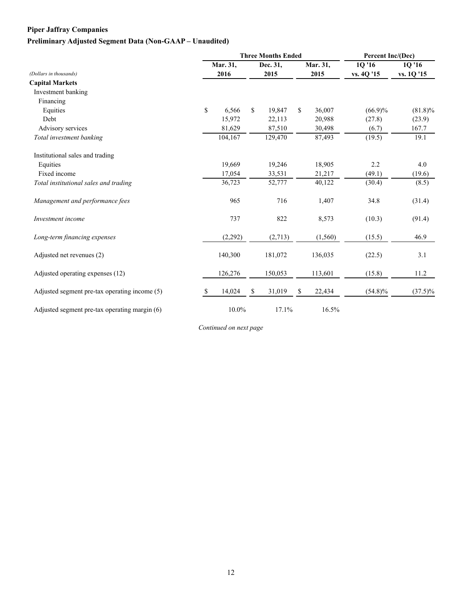### **Piper Jaffray Companies**

### **Preliminary Adjusted Segment Data (Non-GAAP – Unaudited)**

|                                               |    |          |     | <b>Three Months Ended</b> | Percent Inc/(Dec) |          |                   |            |
|-----------------------------------------------|----|----------|-----|---------------------------|-------------------|----------|-------------------|------------|
|                                               |    | Mar. 31, |     | Dec. 31,                  |                   | Mar. 31, | 10 <sup>'16</sup> | 1Q '16     |
| (Dollars in thousands)                        |    | 2016     |     | 2015                      |                   | 2015     | vs. 4Q '15        | vs. 1Q '15 |
| <b>Capital Markets</b>                        |    |          |     |                           |                   |          |                   |            |
| Investment banking                            |    |          |     |                           |                   |          |                   |            |
| Financing                                     |    |          |     |                           |                   |          |                   |            |
| Equities                                      | \$ | 6,566    | \$. | 19,847                    | \$                | 36,007   | $(66.9)\%$        | $(81.8)\%$ |
| Debt                                          |    | 15,972   |     | 22,113                    |                   | 20,988   | (27.8)            | (23.9)     |
| Advisory services                             |    | 81,629   |     | 87,510                    |                   | 30,498   | (6.7)             | 167.7      |
| Total investment banking                      |    | 104,167  |     | 129,470                   |                   | 87,493   | (19.5)            | 19.1       |
| Institutional sales and trading               |    |          |     |                           |                   |          |                   |            |
| Equities                                      |    | 19,669   |     | 19,246                    |                   | 18,905   | 2.2               | 4.0        |
| Fixed income                                  |    | 17,054   |     | 33,531                    |                   | 21,217   | (49.1)            | (19.6)     |
| Total institutional sales and trading         |    | 36,723   |     | 52,777                    |                   | 40,122   | (30.4)            | (8.5)      |
| Management and performance fees               |    | 965      |     | 716                       |                   | 1,407    | 34.8              | (31.4)     |
| Investment income                             |    | 737      |     | 822                       |                   | 8,573    | (10.3)            | (91.4)     |
| Long-term financing expenses                  |    | (2,292)  |     | (2,713)                   |                   | (1, 560) | (15.5)            | 46.9       |
| Adjusted net revenues (2)                     |    | 140,300  |     | 181,072                   |                   | 136,035  | (22.5)            | 3.1        |
| Adjusted operating expenses (12)              |    | 126,276  |     | 150,053                   |                   | 113,601  | (15.8)            | 11.2       |
| Adjusted segment pre-tax operating income (5) | S  | 14,024   | \$  | 31,019                    | S                 | 22,434   | $(54.8)\%$        | $(37.5)\%$ |
| Adjusted segment pre-tax operating margin (6) |    | 10.0%    |     | 17.1%                     |                   | 16.5%    |                   |            |

*Continued on next page*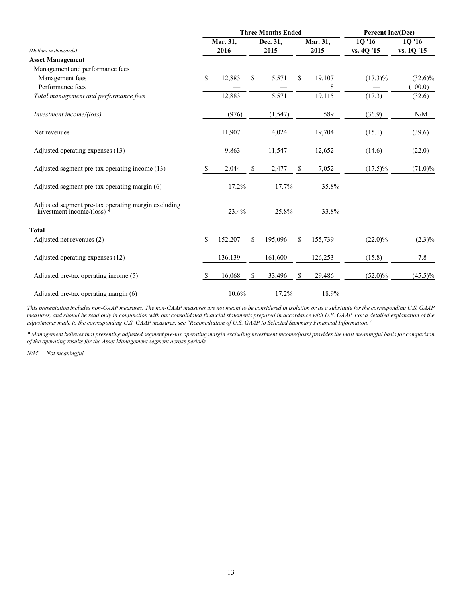|                                                                                     |    |          | <b>Three Months Ended</b> | Percent Inc/(Dec) |    |          |            |            |
|-------------------------------------------------------------------------------------|----|----------|---------------------------|-------------------|----|----------|------------|------------|
|                                                                                     |    | Mar. 31, |                           | Dec. 31,          |    | Mar. 31, | 1Q '16     | 1Q '16     |
| (Dollars in thousands)                                                              |    | 2016     |                           | 2015              |    | 2015     | vs. 4Q '15 | vs. 1Q '15 |
| <b>Asset Management</b>                                                             |    |          |                           |                   |    |          |            |            |
| Management and performance fees                                                     |    |          |                           |                   |    |          |            |            |
| Management fees                                                                     | \$ | 12,883   | \$                        | 15,571            | \$ | 19,107   | $(17.3)\%$ | $(32.6)\%$ |
| Performance fees                                                                    |    |          |                           |                   |    | 8        |            | (100.0)    |
| Total management and performance fees                                               |    | 12,883   |                           | 15,571            |    | 19,115   | (17.3)     | (32.6)     |
| Investment income/(loss)                                                            |    | (976)    |                           | (1, 547)          |    | 589      | (36.9)     | N/M        |
| Net revenues                                                                        |    | 11,907   |                           | 14,024            |    | 19,704   | (15.1)     | (39.6)     |
| Adjusted operating expenses (13)                                                    |    | 9,863    |                           | 11,547            |    | 12,652   | (14.6)     | (22.0)     |
| Adjusted segment pre-tax operating income (13)                                      | S  | 2,044    | S                         | 2,477             | S  | 7,052    | $(17.5)\%$ | $(71.0)\%$ |
| Adjusted segment pre-tax operating margin (6)                                       |    | 17.2%    |                           | 17.7%             |    | 35.8%    |            |            |
| Adjusted segment pre-tax operating margin excluding<br>investment income/(loss) $*$ |    | 23.4%    |                           | 25.8%             |    | 33.8%    |            |            |
| Total                                                                               |    |          |                           |                   |    |          |            |            |
| Adjusted net revenues (2)                                                           | \$ | 152,207  | \$                        | 195,096           | \$ | 155,739  | $(22.0)\%$ | $(2.3)\%$  |
| Adjusted operating expenses (12)                                                    |    | 136,139  |                           | 161,600           |    | 126,253  | (15.8)     | 7.8        |
| Adjusted pre-tax operating income (5)                                               | S  | 16,068   |                           | 33,496            |    | 29,486   | $(52.0)\%$ | $(45.5)\%$ |
| Adjusted pre-tax operating margin (6)                                               |    | 10.6%    |                           | 17.2%             |    | 18.9%    |            |            |

*This presentation includes non-GAAP measures. The non-GAAP measures are not meant to be considered in isolation or as a substitute for the corresponding U.S. GAAP measures, and should be read only in conjunction with our consolidated financial statements prepared in accordance with U.S. GAAP. For a detailed explanation of the adjustments made to the corresponding U.S. GAAP measures, see "Reconciliation of U.S. GAAP to Selected Summary Financial Information."*

*\* Management believes that presenting adjusted segment pre-tax operating margin excluding investment income/(loss) provides the most meaningful basis for comparison of the operating results for the Asset Management segment across periods.*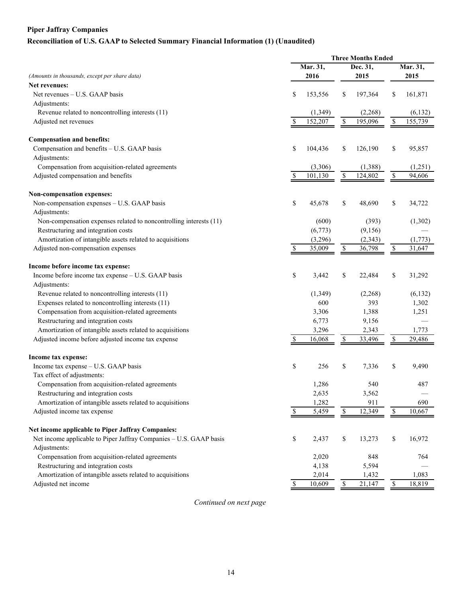## **Piper Jaffray Companies Reconciliation of U.S. GAAP to Selected Summary Financial Information (1) (Unaudited)**

|                                                                    |               | <b>Three Months Ended</b> |                          |          |                          |          |  |
|--------------------------------------------------------------------|---------------|---------------------------|--------------------------|----------|--------------------------|----------|--|
|                                                                    |               | Mar. 31,                  |                          | Dec. 31, |                          | Mar. 31, |  |
| (Amounts in thousands, except per share data)                      |               | 2016                      |                          | 2015     |                          | 2015     |  |
| Net revenues:                                                      |               |                           |                          |          |                          |          |  |
| Net revenues – U.S. GAAP basis                                     | \$            | 153,556                   | \$                       | 197,364  | \$                       | 161,871  |  |
| Adjustments:                                                       |               |                           |                          |          |                          |          |  |
| Revenue related to noncontrolling interests (11)                   |               | (1,349)                   |                          | (2, 268) |                          | (6, 132) |  |
| Adjusted net revenues                                              | \$            | 152,207                   | $\mathbb{S}$             | 195,096  | \$                       | 155,739  |  |
| <b>Compensation and benefits:</b>                                  |               |                           |                          |          |                          |          |  |
| Compensation and benefits - U.S. GAAP basis                        | \$            | 104,436                   | \$                       | 126,190  | \$                       | 95,857   |  |
| Adjustments:                                                       |               |                           |                          |          |                          |          |  |
| Compensation from acquisition-related agreements                   |               | (3,306)                   |                          | (1,388)  |                          | (1,251)  |  |
| Adjusted compensation and benefits                                 | \$            | 101,130                   | $\mathbb{S}$             | 124,802  | \$                       | 94,606   |  |
| Non-compensation expenses:                                         |               |                           |                          |          |                          |          |  |
| Non-compensation expenses - U.S. GAAP basis                        | \$            | 45,678                    | \$                       | 48,690   | \$                       | 34,722   |  |
| Adjustments:                                                       |               |                           |                          |          |                          |          |  |
| Non-compensation expenses related to noncontrolling interests (11) |               | (600)                     |                          | (393)    |                          | (1,302)  |  |
| Restructuring and integration costs                                |               | (6,773)                   |                          | (9,156)  |                          |          |  |
| Amortization of intangible assets related to acquisitions          |               | (3,296)                   |                          | (2, 343) |                          | (1,773)  |  |
| Adjusted non-compensation expenses                                 | \$            | 35,009                    | $\mathbb{S}$             | 36,798   | \$                       | 31,647   |  |
| Income before income tax expense:                                  |               |                           |                          |          |                          |          |  |
| Income before income tax expense - U.S. GAAP basis                 | \$            | 3,442                     | \$                       | 22,484   | \$                       | 31,292   |  |
| Adjustments:                                                       |               |                           |                          |          |                          |          |  |
| Revenue related to noncontrolling interests (11)                   |               | (1,349)                   |                          | (2,268)  |                          | (6,132)  |  |
| Expenses related to noncontrolling interests (11)                  |               | 600                       |                          | 393      |                          | 1,302    |  |
| Compensation from acquisition-related agreements                   |               | 3,306                     |                          | 1,388    |                          | 1,251    |  |
| Restructuring and integration costs                                |               | 6,773                     |                          | 9,156    |                          |          |  |
| Amortization of intangible assets related to acquisitions          |               | 3,296                     |                          | 2,343    |                          | 1,773    |  |
| Adjusted income before adjusted income tax expense                 | <sup>\$</sup> | 16,068                    | $\mathbb{S}$             | 33,496   | \$                       | 29,486   |  |
| Income tax expense:                                                |               |                           |                          |          |                          |          |  |
| Income tax expense - U.S. GAAP basis                               | \$            | 256                       | \$                       | 7,336    | \$                       | 9,490    |  |
| Tax effect of adjustments:                                         |               |                           |                          |          |                          |          |  |
| Compensation from acquisition-related agreements                   |               | 1,286                     |                          | 540      |                          | 487      |  |
| Restructuring and integration costs                                |               | 2,635                     |                          | 3,562    |                          |          |  |
| Amortization of intangible assets related to acquisitions          |               | 1,282                     |                          | 911      |                          | 690      |  |
| Adjusted income tax expense                                        | S             | 5,459                     | $\mathbb{S}$             | 12,349   | $\overline{\mathcal{S}}$ | 10,667   |  |
| Net income applicable to Piper Jaffray Companies:                  |               |                           |                          |          |                          |          |  |
| Net income applicable to Piper Jaffray Companies - U.S. GAAP basis | \$            | 2,437                     | \$                       | 13,273   | \$                       | 16,972   |  |
| Adjustments:                                                       |               |                           |                          |          |                          |          |  |
| Compensation from acquisition-related agreements                   |               | 2,020                     |                          | 848      |                          | 764      |  |
| Restructuring and integration costs                                |               | 4,138                     |                          | 5,594    |                          |          |  |
| Amortization of intangible assets related to acquisitions          |               | 2,014                     |                          | 1,432    |                          | 1,083    |  |
| Adjusted net income                                                | \$            | 10,609                    | $\overline{\mathcal{S}}$ | 21,147   | $\overline{\mathcal{S}}$ | 18,819   |  |

*Continued on next page*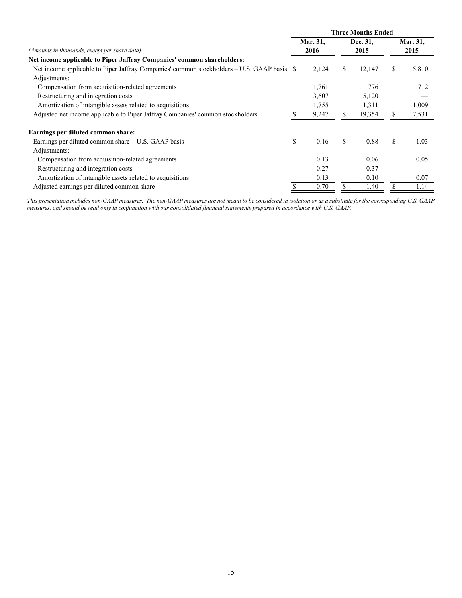|                                                                                            | <b>Three Months Ended</b> |          |    |          |      |          |  |  |  |  |
|--------------------------------------------------------------------------------------------|---------------------------|----------|----|----------|------|----------|--|--|--|--|
|                                                                                            |                           | Mar. 31, |    | Dec. 31, |      | Mar. 31, |  |  |  |  |
| (Amounts in thousands, except per share data)                                              |                           | 2016     |    | 2015     | 2015 |          |  |  |  |  |
| Net income applicable to Piper Jaffray Companies' common shareholders:                     |                           |          |    |          |      |          |  |  |  |  |
| Net income applicable to Piper Jaffray Companies' common stockholders – U.S. GAAP basis \$ |                           | 2,124    | \$ | 12,147   | S    | 15,810   |  |  |  |  |
| Adjustments:                                                                               |                           |          |    |          |      |          |  |  |  |  |
| Compensation from acquisition-related agreements                                           |                           | 1,761    |    | 776      |      | 712      |  |  |  |  |
| Restructuring and integration costs                                                        |                           | 3,607    |    | 5,120    |      |          |  |  |  |  |
| Amortization of intangible assets related to acquisitions                                  |                           | 1,755    |    | 1,311    |      | 1,009    |  |  |  |  |
| Adjusted net income applicable to Piper Jaffray Companies' common stockholders             |                           | 9,247    | \$ | 19,354   |      | 17,531   |  |  |  |  |
| Earnings per diluted common share:                                                         |                           |          |    |          |      |          |  |  |  |  |
| Earnings per diluted common share – U.S. GAAP basis                                        | \$                        | 0.16     | \$ | 0.88     | \$   | 1.03     |  |  |  |  |
| Adjustments:                                                                               |                           |          |    |          |      |          |  |  |  |  |
| Compensation from acquisition-related agreements                                           |                           | 0.13     |    | 0.06     |      | 0.05     |  |  |  |  |
| Restructuring and integration costs                                                        |                           | 0.27     |    | 0.37     |      |          |  |  |  |  |
| Amortization of intangible assets related to acquisitions                                  |                           | 0.13     |    | 0.10     |      | 0.07     |  |  |  |  |
| Adjusted earnings per diluted common share                                                 |                           | 0.70     | \$ | 1.40     |      | 1.14     |  |  |  |  |

*This presentation includes non-GAAP measures. The non-GAAP measures are not meant to be considered in isolation or as a substitute for the corresponding U.S. GAAP measures, and should be read only in conjunction with our consolidated financial statements prepared in accordance with U.S. GAAP.*